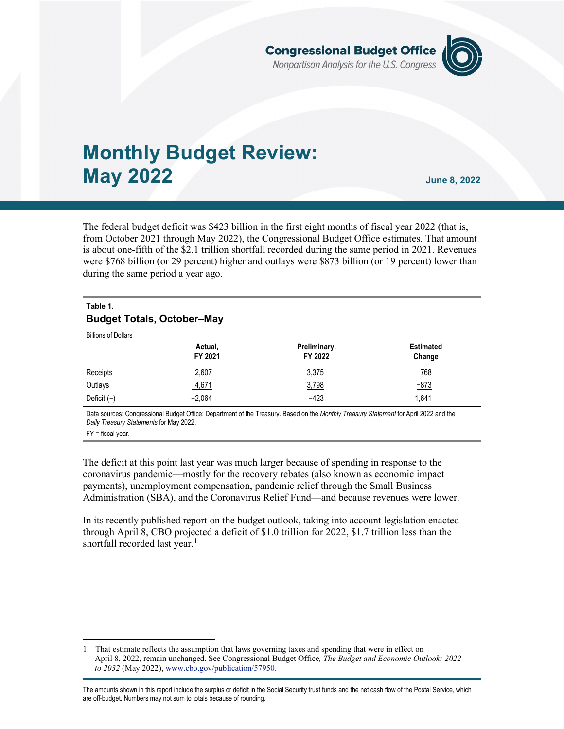**Congressional Budget Office**<br>Nonpartisan Analysis for the U.S. Congress



# **Monthly Budget Review: May** 2022 *June 8, 2022*

The federal budget deficit was \$423 billion in the first eight months of fiscal year 2022 (that is, from October 2021 through May 2022), the Congressional Budget Office estimates. That amount is about one-fifth of the \$2.1 trillion shortfall recorded during the same period in 2021. Revenues were \$768 billion (or 29 percent) higher and outlays were \$873 billion (or 19 percent) lower than during the same period a year ago.

### **Table 1. Budget Totals, October–May**

Billions of Dollars

| <b>BILIONS OF DOIGLS</b> |                    |                         |                            |  |  |
|--------------------------|--------------------|-------------------------|----------------------------|--|--|
|                          | Actual,<br>FY 2021 | Preliminary,<br>FY 2022 | <b>Estimated</b><br>Change |  |  |
|                          |                    |                         |                            |  |  |
| Receipts                 | 2,607              | 3,375                   | 768                        |  |  |
| Outlays                  | 4,671              | 3,798                   | $-873$                     |  |  |
| Deficit $(-)$            | $-2.064$           | $-423$                  | 1.641                      |  |  |

Data sources: Congressional Budget Office; Department of the Treasury. Based on the *Monthly Treasury Statement* for April 2022 and the *Daily Treasury Statements* for May 2022.

FY = fiscal year.

The deficit at this point last year was much larger because of spending in response to the coronavirus pandemic—mostly for the recovery rebates (also known as economic impact payments), unemployment compensation, pandemic relief through the Small Business Administration (SBA), and the Coronavirus Relief Fund—and because revenues were lower.

In its recently published report on the budget outlook, taking into account legislation enacted through April 8, CBO projected a deficit of \$1.0 trillion for 2022, \$1.7 trillion less than the shortfall recorded last year. [1](#page-0-0)

<span id="page-0-0"></span><sup>1.</sup> That estimate reflects the assumption that laws governing taxes and spending that were in effect on April 8, 2022, remain unchanged. See Congressional Budget Office*, The Budget and Economic Outlook: 2022 to 2032* (May 2022), [www.cbo.gov/publication/57950.](https://www.cbo.gov/publication/57950)

The amounts shown in this report include the surplus or deficit in the Social Security trust funds and the net cash flow of the Postal Service, which are off-budget. Numbers may not sum to totals because of rounding.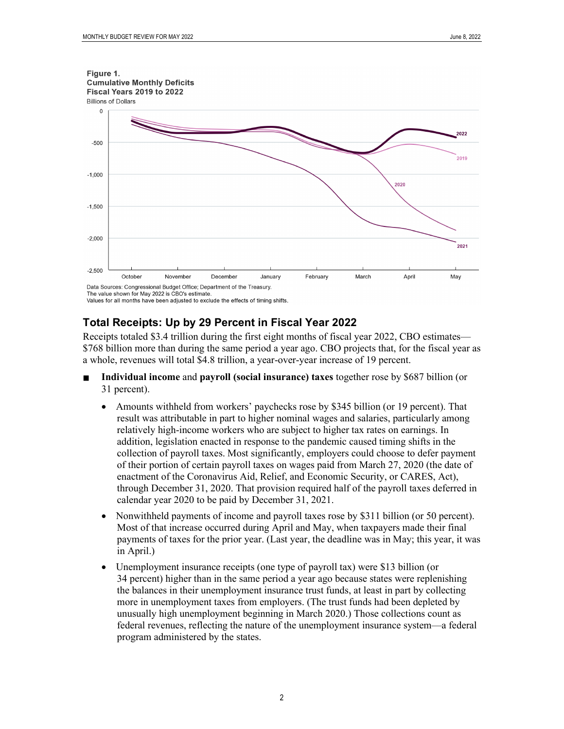

## **Total Receipts: Up by 29 Percent in Fiscal Year 2022**

Receipts totaled \$3.4 trillion during the first eight months of fiscal year 2022, CBO estimates— \$768 billion more than during the same period a year ago. CBO projects that, for the fiscal year as a whole, revenues will total \$4.8 trillion, a year-over-year increase of 19 percent.

- **Individual income** and **payroll (social insurance) taxes** together rose by \$687 billion (or 31 percent).
	- Amounts withheld from workers' paychecks rose by \$345 billion (or 19 percent). That result was attributable in part to higher nominal wages and salaries, particularly among relatively high-income workers who are subject to higher tax rates on earnings. In addition, legislation enacted in response to the pandemic caused timing shifts in the collection of payroll taxes. Most significantly, employers could choose to defer payment of their portion of certain payroll taxes on wages paid from March 27, 2020 (the date of enactment of the Coronavirus Aid, Relief, and Economic Security, or CARES, Act), through December 31, 2020. That provision required half of the payroll taxes deferred in calendar year 2020 to be paid by December 31, 2021.
	- Nonwithheld payments of income and payroll taxes rose by \$311 billion (or 50 percent). Most of that increase occurred during April and May, when taxpayers made their final payments of taxes for the prior year. (Last year, the deadline was in May; this year, it was in April.)
	- Unemployment insurance receipts (one type of payroll tax) were \$13 billion (or 34 percent) higher than in the same period a year ago because states were replenishing the balances in their unemployment insurance trust funds, at least in part by collecting more in unemployment taxes from employers. (The trust funds had been depleted by unusually high unemployment beginning in March 2020.) Those collections count as federal revenues, reflecting the nature of the unemployment insurance system—a federal program administered by the states.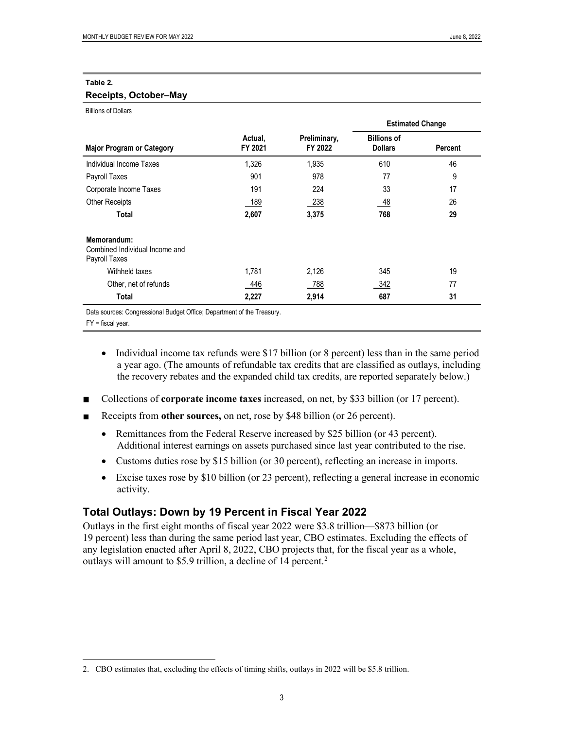#### **Table 2. Receipts, October–May**

|                                                                |                    |                         | <b>Estimated Change</b>              |                |
|----------------------------------------------------------------|--------------------|-------------------------|--------------------------------------|----------------|
| <b>Major Program or Category</b>                               | Actual,<br>FY 2021 | Preliminary,<br>FY 2022 | <b>Billions of</b><br><b>Dollars</b> | <b>Percent</b> |
| Individual Income Taxes                                        | 1,326              | 1,935                   | 610                                  | 46             |
| Payroll Taxes                                                  | 901                | 978                     | 77                                   | 9              |
| Corporate Income Taxes                                         | 191                | 224                     | 33                                   | 17             |
| <b>Other Receipts</b>                                          | 189                | 238                     | 48                                   | 26             |
| Total                                                          | 2,607              | 3,375                   | 768                                  | 29             |
| Memorandum:<br>Combined Individual Income and<br>Payroll Taxes |                    |                         |                                      |                |
| Withheld taxes                                                 | 1.781              | 2,126                   | 345                                  | 19             |
| Other, net of refunds                                          | 446                | 788                     | 342                                  | 77             |
| Total                                                          | 2,227              | 2,914                   | 687                                  | 31             |

Data sources: Congressional Budget Office; Department of the Treasury.

FY = fiscal year.

- Individual income tax refunds were \$17 billion (or 8 percent) less than in the same period a year ago. (The amounts of refundable tax credits that are classified as outlays, including the recovery rebates and the expanded child tax credits, are reported separately below.)
- Collections of **corporate income taxes** increased, on net, by \$33 billion (or 17 percent).
- Receipts from **other sources**, on net, rose by \$48 billion (or 26 percent).
	- Remittances from the Federal Reserve increased by \$25 billion (or 43 percent). Additional interest earnings on assets purchased since last year contributed to the rise.
	- Customs duties rose by \$15 billion (or 30 percent), reflecting an increase in imports.
	- Excise taxes rose by \$10 billion (or 23 percent), reflecting a general increase in economic activity.

## **Total Outlays: Down by 19 Percent in Fiscal Year 2022**

Outlays in the first eight months of fiscal year 2022 were \$3.8 trillion—\$873 billion (or 19 percent) less than during the same period last year, CBO estimates. Excluding the effects of any legislation enacted after April 8, 2022, CBO projects that, for the fiscal year as a whole, outlays will amount to \$5.9 trillion, a decline of 14 percent.<sup>[2](#page-2-0)</sup>

<span id="page-2-0"></span><sup>2.</sup> CBO estimates that, excluding the effects of timing shifts, outlays in 2022 will be \$5.8 trillion.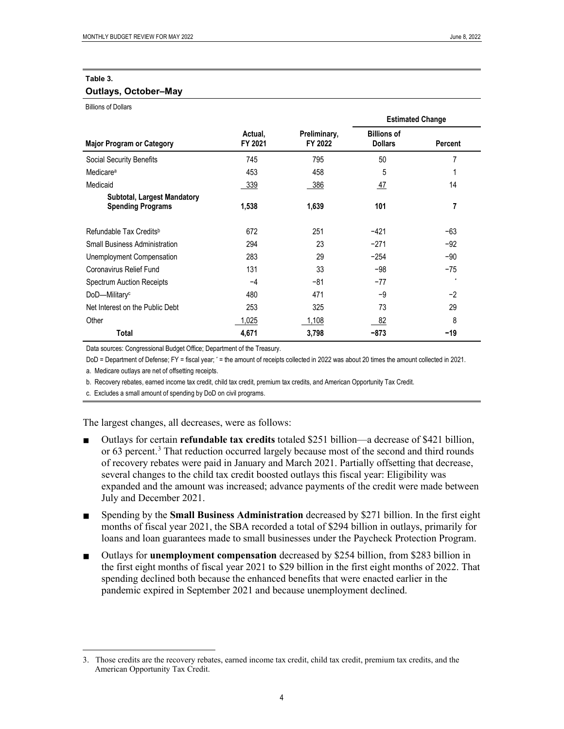#### **Table 3.**

#### **Outlays, October–May**

| <b>Billions of Dollars</b> |  |  |
|----------------------------|--|--|
|----------------------------|--|--|

|                                                                |                    |                         | <b>Estimated Change</b>              |                |
|----------------------------------------------------------------|--------------------|-------------------------|--------------------------------------|----------------|
| <b>Major Program or Category</b>                               | Actual,<br>FY 2021 | Preliminary,<br>FY 2022 | <b>Billions of</b><br><b>Dollars</b> | <b>Percent</b> |
| <b>Social Security Benefits</b>                                | 745                | 795                     | 50                                   | 7              |
| Medicare <sup>a</sup>                                          | 453                | 458                     | 5                                    |                |
| Medicaid                                                       | 339                | 386                     | <u>47</u>                            | 14             |
| <b>Subtotal, Largest Mandatory</b><br><b>Spending Programs</b> | 1,538              | 1,639                   | 101                                  | 7              |
| Refundable Tax Credits <sup>b</sup>                            | 672                | 251                     | $-421$                               | $-63$          |
| <b>Small Business Administration</b>                           | 294                | 23                      | $-271$                               | $-92$          |
| Unemployment Compensation                                      | 283                | 29                      | $-254$                               | $-90$          |
| Coronavirus Relief Fund                                        | 131                | 33                      | $-98$                                | $-75$          |
| <b>Spectrum Auction Receipts</b>                               | $-4$               | -81                     | $-77$                                |                |
| DoD-Military <sup>c</sup>                                      | 480                | 471                     | -9                                   | $-2$           |
| Net Interest on the Public Debt                                | 253                | 325                     | 73                                   | 29             |
| Other                                                          | 1,025              | .108                    | 82                                   | 8              |
| Total                                                          | 4,671              | 3,798                   | $-873$                               | $-19$          |

Data sources: Congressional Budget Office; Department of the Treasury.

DoD = Department of Defense; FY = fiscal year; \* = the amount of receipts collected in 2022 was about 20 times the amount collected in 2021.

a. Medicare outlays are net of offsetting receipts.

b. Recovery rebates, earned income tax credit, child tax credit, premium tax credits, and American Opportunity Tax Credit.

c. Excludes a small amount of spending by DoD on civil programs.

The largest changes, all decreases, were as follows:

- Outlays for certain **refundable tax credits** totaled \$251 billion—a decrease of \$421 billion, or 63 percent.<sup>3</sup> That reduction occurred largely because most of the second and third rounds of recovery rebates were paid in January and March 2021. Partially offsetting that decrease, several changes to the child tax credit boosted outlays this fiscal year: Eligibility was expanded and the amount was increased; advance payments of the credit were made between July and December 2021.
- Spending by the **Small Business Administration** decreased by \$271 billion. In the first eight  $\blacksquare$ months of fiscal year 2021, the SBA recorded a total of \$294 billion in outlays, primarily for loans and loan guarantees made to small businesses under the Paycheck Protection Program.
- Outlays for **unemployment compensation** decreased by \$254 billion, from \$283 billion in the first eight months of fiscal year 2021 to \$29 billion in the first eight months of 2022. That spending declined both because the enhanced benefits that were enacted earlier in the pandemic expired in September 2021 and because unemployment declined.

<span id="page-3-0"></span><sup>3.</sup> Those credits are the recovery rebates, earned income tax credit, child tax credit, premium tax credits, and the American Opportunity Tax Credit.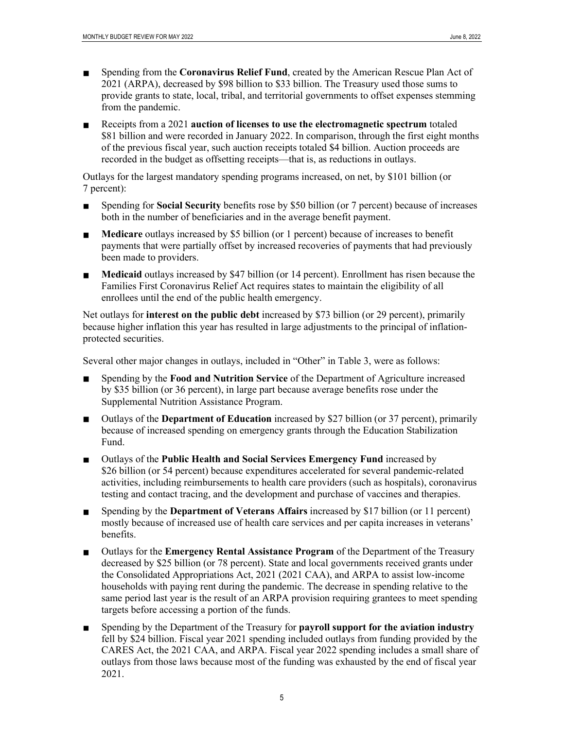- Spending from the **Coronavirus Relief Fund**, created by the American Rescue Plan Act of 2021 (ARPA), decreased by \$98 billion to \$33 billion. The Treasury used those sums to provide grants to state, local, tribal, and territorial governments to offset expenses stemming from the pandemic.
- Receipts from a 2021 **auction of licenses to use the electromagnetic spectrum** totaled \$81 billion and were recorded in January 2022. In comparison, through the first eight months of the previous fiscal year, such auction receipts totaled \$4 billion. Auction proceeds are recorded in the budget as offsetting receipts—that is, as reductions in outlays.

Outlays for the largest mandatory spending programs increased, on net, by \$101 billion (or 7 percent):

- Spending for **Social Security** benefits rose by \$50 billion (or 7 percent) because of increases  $\blacksquare$ both in the number of beneficiaries and in the average benefit payment.
- **Medicare** outlays increased by \$5 billion (or 1 percent) because of increases to benefit  $\blacksquare$ payments that were partially offset by increased recoveries of payments that had previously been made to providers.
- **Medicaid** outlays increased by \$47 billion (or 14 percent). Enrollment has risen because the Families First Coronavirus Relief Act requires states to maintain the eligibility of all enrollees until the end of the public health emergency.

Net outlays for **interest on the public debt** increased by \$73 billion (or 29 percent), primarily because higher inflation this year has resulted in large adjustments to the principal of inflationprotected securities.

Several other major changes in outlays, included in "Other" in Table 3, were as follows:

- Spending by the **Food and Nutrition Service** of the Department of Agriculture increased by \$35 billion (or 36 percent), in large part because average benefits rose under the Supplemental Nutrition Assistance Program.
- Outlays of the **Department of Education** increased by \$27 billion (or 37 percent), primarily  $\blacksquare$ because of increased spending on emergency grants through the Education Stabilization Fund.
- $\blacksquare$ Outlays of the **Public Health and Social Services Emergency Fund** increased by \$26 billion (or 54 percent) because expenditures accelerated for several pandemic-related activities, including reimbursements to health care providers (such as hospitals), coronavirus testing and contact tracing, and the development and purchase of vaccines and therapies.
- Spending by the **Department of Veterans Affairs** increased by \$17 billion (or 11 percent)  $\blacksquare$ mostly because of increased use of health care services and per capita increases in veterans' benefits.
- Outlays for the **Emergency Rental Assistance Program** of the Department of the Treasury  $\blacksquare$ decreased by \$25 billion (or 78 percent). State and local governments received grants under the Consolidated Appropriations Act, 2021 (2021 CAA), and ARPA to assist low-income households with paying rent during the pandemic. The decrease in spending relative to the same period last year is the result of an ARPA provision requiring grantees to meet spending targets before accessing a portion of the funds.
- $\blacksquare$ Spending by the Department of the Treasury for **payroll support for the aviation industry** fell by \$24 billion. Fiscal year 2021 spending included outlays from funding provided by the CARES Act, the 2021 CAA, and ARPA. Fiscal year 2022 spending includes a small share of outlays from those laws because most of the funding was exhausted by the end of fiscal year 2021.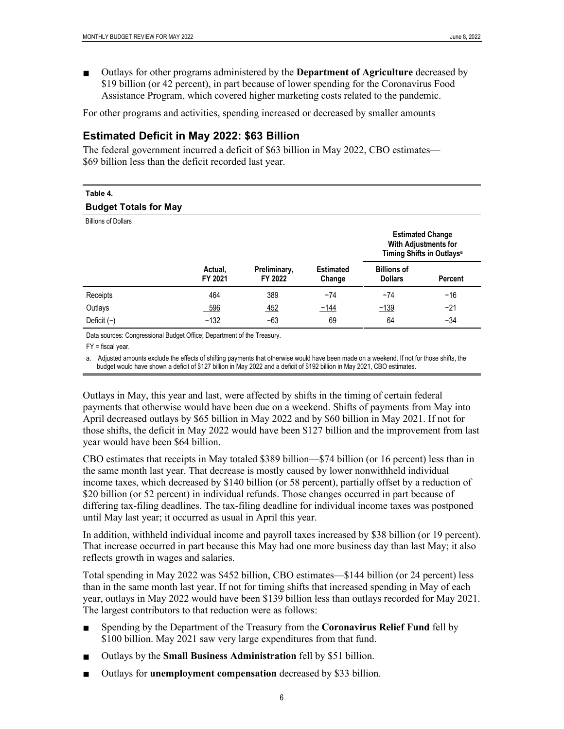Outlays for other programs administered by the **Department of Agriculture** decreased by \$19 billion (or 42 percent), in part because of lower spending for the Coronavirus Food Assistance Program, which covered higher marketing costs related to the pandemic.

For other programs and activities, spending increased or decreased by smaller amounts

## **Estimated Deficit in May 2022: \$63 Billion**

The federal government incurred a deficit of \$63 billion in May 2022, CBO estimates— \$69 billion less than the deficit recorded last year.

| Table 4.                     |                    |                         |                            |                                                                                                 |         |
|------------------------------|--------------------|-------------------------|----------------------------|-------------------------------------------------------------------------------------------------|---------|
| <b>Budget Totals for May</b> |                    |                         |                            |                                                                                                 |         |
| <b>Billions of Dollars</b>   |                    |                         |                            | <b>Estimated Change</b><br><b>With Adjustments for</b><br>Timing Shifts in Outlays <sup>a</sup> |         |
|                              | Actual,<br>FY 2021 | Preliminary,<br>FY 2022 | <b>Estimated</b><br>Change | <b>Billions of</b><br><b>Dollars</b>                                                            | Percent |
| Receipts                     | 464                | 389                     | $-74$                      | $-74$                                                                                           | $-16$   |
| Outlays                      | 596                | 452                     | $-144$                     | $-139$                                                                                          | $-21$   |
| Deficit $(-)$                | $-132$             | $-63$                   | 69                         | 64                                                                                              | $-34$   |

Data sources: Congressional Budget Office; Department of the Treasury.

FY = fiscal year.

a. Adjusted amounts exclude the effects of shifting payments that otherwise would have been made on a weekend. If not for those shifts, the budget would have shown a deficit of \$127 billion in May 2022 and a deficit of \$192 billion in May 2021, CBO estimates.

Outlays in May, this year and last, were affected by shifts in the timing of certain federal payments that otherwise would have been due on a weekend. Shifts of payments from May into April decreased outlays by \$65 billion in May 2022 and by \$60 billion in May 2021. If not for those shifts, the deficit in May 2022 would have been \$127 billion and the improvement from last year would have been \$64 billion.

CBO estimates that receipts in May totaled \$389 billion—\$74 billion (or 16 percent) less than in the same month last year. That decrease is mostly caused by lower nonwithheld individual income taxes, which decreased by \$140 billion (or 58 percent), partially offset by a reduction of \$20 billion (or 52 percent) in individual refunds. Those changes occurred in part because of differing tax-filing deadlines. The tax-filing deadline for individual income taxes was postponed until May last year; it occurred as usual in April this year.

In addition, withheld individual income and payroll taxes increased by \$38 billion (or 19 percent). That increase occurred in part because this May had one more business day than last May; it also reflects growth in wages and salaries.

Total spending in May 2022 was \$452 billion, CBO estimates—\$144 billion (or 24 percent) less than in the same month last year. If not for timing shifts that increased spending in May of each year, outlays in May 2022 would have been \$139 billion less than outlays recorded for May 2021. The largest contributors to that reduction were as follows:

- Spending by the Department of the Treasury from the **Coronavirus Relief Fund** fell by  $\blacksquare$ \$100 billion. May 2021 saw very large expenditures from that fund.
- Outlays by the **Small Business Administration** fell by \$51 billion.  $\blacksquare$
- Outlays for **unemployment compensation** decreased by \$33 billion.